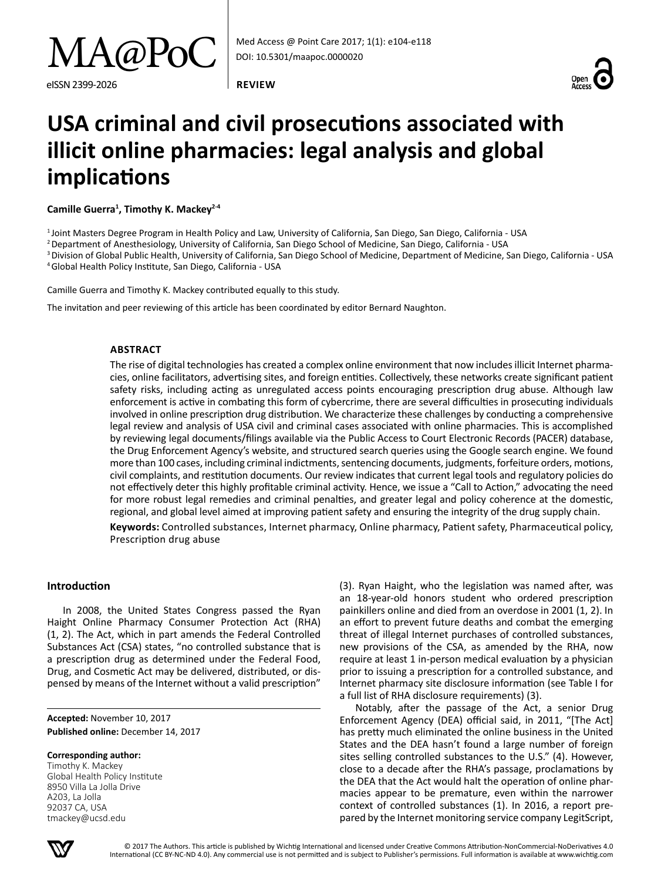

**REVIEW** 



# **USA criminal and civil prosecutions associated with illicit online pharmacies: legal analysis and global implications**

**Camille Guerra1 , Timothy K. Mackey2-4**

<sup>1</sup> Joint Masters Degree Program in Health Policy and Law, University of California, San Diego, San Diego, California - USA

<sup>2</sup> Department of Anesthesiology, University of California, San Diego School of Medicine, San Diego, California - USA

<sup>3</sup> Division of Global Public Health, University of California, San Diego School of Medicine, Department of Medicine, San Diego, California - USA 4  Global Health Policy Institute, San Diego, California - USA

Camille Guerra and Timothy K. Mackey contributed equally to this study.

The invitation and peer reviewing of this article has been coordinated by editor Bernard Naughton.

# **Abstract**

The rise of digital technologies has created a complex online environment that now includes illicit Internet pharmacies, online facilitators, advertising sites, and foreign entities. Collectively, these networks create significant patient safety risks, including acting as unregulated access points encouraging prescription drug abuse. Although law enforcement is active in combating this form of cybercrime, there are several difficulties in prosecuting individuals involved in online prescription drug distribution. We characterize these challenges by conducting a comprehensive legal review and analysis of USA civil and criminal cases associated with online pharmacies. This is accomplished by reviewing legal documents/filings available via the Public Access to Court Electronic Records (PACER) database, the Drug Enforcement Agency's website, and structured search queries using the Google search engine. We found more than 100 cases, including criminal indictments, sentencing documents, judgments, forfeiture orders, motions, civil complaints, and restitution documents. Our review indicates that current legal tools and regulatory policies do not effectively deter this highly profitable criminal activity. Hence, we issue a "Call to Action," advocating the need for more robust legal remedies and criminal penalties, and greater legal and policy coherence at the domestic, regional, and global level aimed at improving patient safety and ensuring the integrity of the drug supply chain.

**Keywords:** Controlled substances, Internet pharmacy, Online pharmacy, Patient safety, Pharmaceutical policy, Prescription drug abuse

# **Introduction**

In 2008, the United States Congress passed the Ryan Haight Online Pharmacy Consumer Protection Act (RHA) (1, 2). The Act, which in part amends the Federal Controlled Substances Act (CSA) states, "no controlled substance that is a prescription drug as determined under the Federal Food, Drug, and Cosmetic Act may be delivered, distributed, or dispensed by means of the Internet without a valid prescription"

**Accepted:** November 10, 2017 **Published online:** December 14, 2017

**Corresponding author:** Timothy K. Mackey Global Health Policy Institute 8950 Villa La Jolla Drive A203, La Jolla 92037 CA, USA tmackey@ucsd.edu

(3). Ryan Haight, who the legislation was named after, was an 18-year-old honors student who ordered prescription painkillers online and died from an overdose in 2001 (1, 2). In an effort to prevent future deaths and combat the emerging threat of illegal Internet purchases of controlled substances, new provisions of the CSA, as amended by the RHA, now require at least 1 in-person medical evaluation by a physician prior to issuing a prescription for a controlled substance, and Internet pharmacy site disclosure information (see Table I for a full list of RHA disclosure requirements) (3).

Notably, after the passage of the Act, a senior Drug Enforcement Agency (DEA) official said, in 2011, "[The Act] has pretty much eliminated the online business in the United States and the DEA hasn't found a large number of foreign sites selling controlled substances to the U.S." (4). However, close to a decade after the RHA's passage, proclamations by the DEA that the Act would halt the operation of online pharmacies appear to be premature, even within the narrower context of controlled substances (1). In 2016, a report prepared by the Internet monitoring service company LegitScript,

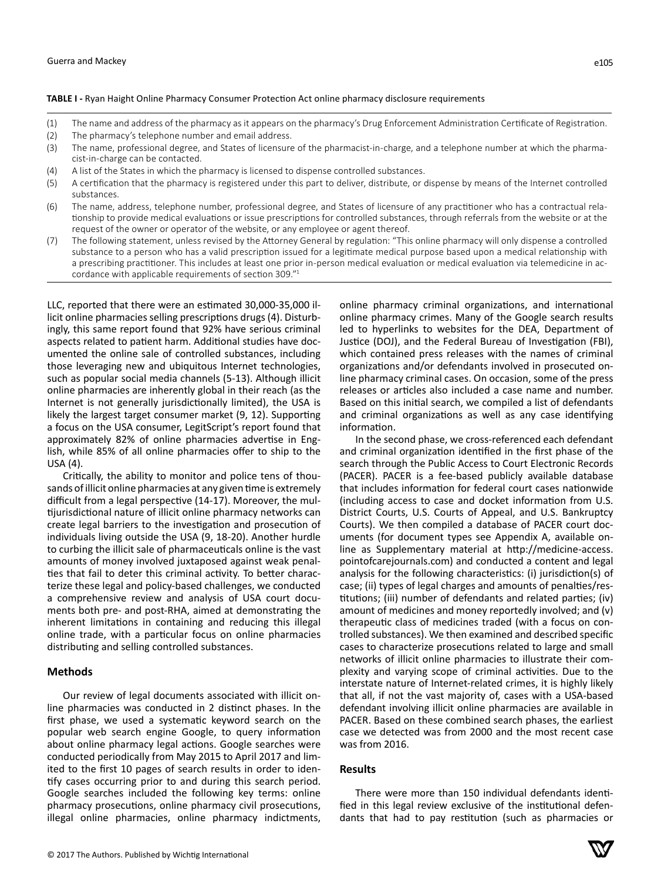## **TABLE I -** Ryan Haight Online Pharmacy Consumer Protection Act online pharmacy disclosure requirements

- (1) The name and address of the pharmacy as it appears on the pharmacy's Drug Enforcement Administration Certificate of Registration.
- (2) The pharmacy's telephone number and email address.
- (3) The name, professional degree, and States of licensure of the pharmacist-in-charge, and a telephone number at which the pharmacist-in-charge can be contacted.
- (4) A list of the States in which the pharmacy is licensed to dispense controlled substances.
- (5) A certification that the pharmacy is registered under this part to deliver, distribute, or dispense by means of the Internet controlled substances.
- (6) The name, address, telephone number, professional degree, and States of licensure of any practitioner who has a contractual relationship to provide medical evaluations or issue prescriptions for controlled substances, through referrals from the website or at the request of the owner or operator of the website, or any employee or agent thereof.
- (7) The following statement, unless revised by the Attorney General by regulation: "This online pharmacy will only dispense a controlled substance to a person who has a valid prescription issued for a legitimate medical purpose based upon a medical relationship with a prescribing practitioner. This includes at least one prior in-person medical evaluation or medical evaluation via telemedicine in accordance with applicable requirements of section 309."<sup>1</sup>

LLC, reported that there were an estimated 30,000-35,000 illicit online pharmacies selling prescriptions drugs (4). Disturbingly, this same report found that 92% have serious criminal aspects related to patient harm. Additional studies have documented the online sale of controlled substances, including those leveraging new and ubiquitous Internet technologies, such as popular social media channels (5-13). Although illicit online pharmacies are inherently global in their reach (as the Internet is not generally jurisdictionally limited), the USA is likely the largest target consumer market (9, 12). Supporting a focus on the USA consumer, LegitScript's report found that approximately 82% of online pharmacies advertise in English, while 85% of all online pharmacies offer to ship to the USA (4).

Critically, the ability to monitor and police tens of thousands of illicit online pharmacies at any given time is extremely difficult from a legal perspective (14-17). Moreover, the multijurisdictional nature of illicit online pharmacy networks can create legal barriers to the investigation and prosecution of individuals living outside the USA (9, 18-20). Another hurdle to curbing the illicit sale of pharmaceuticals online is the vast amounts of money involved juxtaposed against weak penalties that fail to deter this criminal activity. To better characterize these legal and policy-based challenges, we conducted a comprehensive review and analysis of USA court documents both pre- and post-RHA, aimed at demonstrating the inherent limitations in containing and reducing this illegal online trade, with a particular focus on online pharmacies distributing and selling controlled substances.

## **Methods**

Our review of legal documents associated with illicit online pharmacies was conducted in 2 distinct phases. In the first phase, we used a systematic keyword search on the popular web search engine Google, to query information about online pharmacy legal actions. Google searches were conducted periodically from May 2015 to April 2017 and limited to the first 10 pages of search results in order to identify cases occurring prior to and during this search period. Google searches included the following key terms: online pharmacy prosecutions, online pharmacy civil prosecutions, illegal online pharmacies, online pharmacy indictments, online pharmacy criminal organizations, and international online pharmacy crimes. Many of the Google search results led to hyperlinks to websites for the DEA, Department of Justice (DOJ), and the Federal Bureau of Investigation (FBI), which contained press releases with the names of criminal organizations and/or defendants involved in prosecuted online pharmacy criminal cases. On occasion, some of the press releases or articles also included a case name and number. Based on this initial search, we compiled a list of defendants and criminal organizations as well as any case identifying information.

In the second phase, we cross-referenced each defendant and criminal organization identified in the first phase of the search through the Public Access to Court Electronic Records (PACER). PACER is a fee-based publicly available database that includes information for federal court cases nationwide (including access to case and docket information from U.S. District Courts, U.S. Courts of Appeal, and U.S. Bankruptcy Courts). We then compiled a database of PACER court documents (for document types see Appendix A, available online as Supplementary material at http://medicine-access. pointofcarejournals.com) and conducted a content and legal analysis for the following characteristics: (i) jurisdiction(s) of case; (ii) types of legal charges and amounts of penalties/restitutions; (iii) number of defendants and related parties; (iv) amount of medicines and money reportedly involved; and (v) therapeutic class of medicines traded (with a focus on controlled substances). We then examined and described specific cases to characterize prosecutions related to large and small networks of illicit online pharmacies to illustrate their complexity and varying scope of criminal activities. Due to the interstate nature of Internet-related crimes, it is highly likely that all, if not the vast majority of, cases with a USA-based defendant involving illicit online pharmacies are available in PACER. Based on these combined search phases, the earliest case we detected was from 2000 and the most recent case was from 2016.

## **Results**

There were more than 150 individual defendants identified in this legal review exclusive of the institutional defendants that had to pay restitution (such as pharmacies or

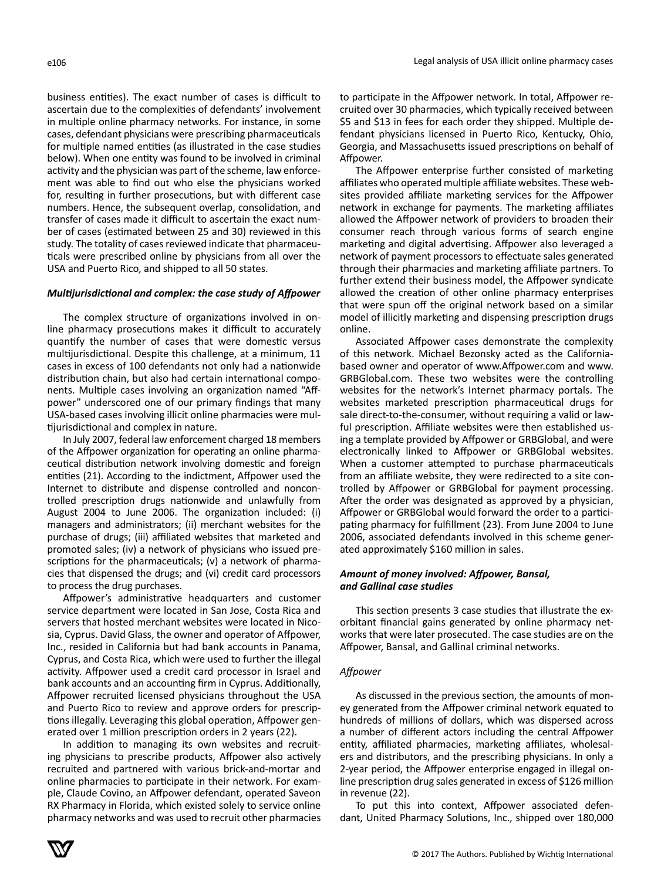business entities). The exact number of cases is difficult to ascertain due to the complexities of defendants' involvement in multiple online pharmacy networks. For instance, in some cases, defendant physicians were prescribing pharmaceuticals for multiple named entities (as illustrated in the case studies below). When one entity was found to be involved in criminal activity and the physician was part of the scheme, law enforcement was able to find out who else the physicians worked for, resulting in further prosecutions, but with different case numbers. Hence, the subsequent overlap, consolidation, and transfer of cases made it difficult to ascertain the exact number of cases (estimated between 25 and 30) reviewed in this study. The totality of cases reviewed indicate that pharmaceuticals were prescribed online by physicians from all over the USA and Puerto Rico, and shipped to all 50 states.

# *Multijurisdictional and complex: the case study of Affpower*

The complex structure of organizations involved in online pharmacy prosecutions makes it difficult to accurately quantify the number of cases that were domestic versus multijurisdictional. Despite this challenge, at a minimum, 11 cases in excess of 100 defendants not only had a nationwide distribution chain, but also had certain international components. Multiple cases involving an organization named "Affpower" underscored one of our primary findings that many USA-based cases involving illicit online pharmacies were multijurisdictional and complex in nature.

In July 2007, federal law enforcement charged 18 members of the Affpower organization for operating an online pharmaceutical distribution network involving domestic and foreign entities (21). According to the indictment, Affpower used the Internet to distribute and dispense controlled and noncontrolled prescription drugs nationwide and unlawfully from August 2004 to June 2006. The organization included: (i) managers and administrators; (ii) merchant websites for the purchase of drugs; (iii) affiliated websites that marketed and promoted sales; (iv) a network of physicians who issued prescriptions for the pharmaceuticals; (v) a network of pharmacies that dispensed the drugs; and (vi) credit card processors to process the drug purchases.

Affpower's administrative headquarters and customer service department were located in San Jose, Costa Rica and servers that hosted merchant websites were located in Nicosia, Cyprus. David Glass, the owner and operator of Affpower, Inc., resided in California but had bank accounts in Panama, Cyprus, and Costa Rica, which were used to further the illegal activity. Affpower used a credit card processor in Israel and bank accounts and an accounting firm in Cyprus. Additionally, Affpower recruited licensed physicians throughout the USA and Puerto Rico to review and approve orders for prescriptions illegally. Leveraging this global operation, Affpower generated over 1 million prescription orders in 2 years (22).

In addition to managing its own websites and recruiting physicians to prescribe products, Affpower also actively recruited and partnered with various brick-and-mortar and online pharmacies to participate in their network. For example, Claude Covino, an Affpower defendant, operated Saveon RX Pharmacy in Florida, which existed solely to service online pharmacy networks and was used to recruit other pharmacies to participate in the Affpower network. In total, Affpower recruited over 30 pharmacies, which typically received between \$5 and \$13 in fees for each order they shipped. Multiple defendant physicians licensed in Puerto Rico, Kentucky, Ohio, Georgia, and Massachusetts issued prescriptions on behalf of Affpower.

The Affpower enterprise further consisted of marketing affiliates who operated multiple affiliate websites. These websites provided affiliate marketing services for the Affpower network in exchange for payments. The marketing affiliates allowed the Affpower network of providers to broaden their consumer reach through various forms of search engine marketing and digital advertising. Affpower also leveraged a network of payment processors to effectuate sales generated through their pharmacies and marketing affiliate partners. To further extend their business model, the Affpower syndicate allowed the creation of other online pharmacy enterprises that were spun off the original network based on a similar model of illicitly marketing and dispensing prescription drugs online.

Associated Affpower cases demonstrate the complexity of this network. Michael Bezonsky acted as the Californiabased owner and operator of www.Affpower.com and www. GRBGlobal.com. These two websites were the controlling websites for the network's Internet pharmacy portals. The websites marketed prescription pharmaceutical drugs for sale direct-to-the-consumer, without requiring a valid or lawful prescription. Affiliate websites were then established using a template provided by Affpower or GRBGlobal, and were electronically linked to Affpower or GRBGlobal websites. When a customer attempted to purchase pharmaceuticals from an affiliate website, they were redirected to a site controlled by Affpower or GRBGlobal for payment processing. After the order was designated as approved by a physician, Affpower or GRBGlobal would forward the order to a participating pharmacy for fulfillment (23). From June 2004 to June 2006, associated defendants involved in this scheme generated approximately \$160 million in sales.

# *Amount of money involved: Affpower, Bansal, and Gallinal case studies*

This section presents 3 case studies that illustrate the exorbitant financial gains generated by online pharmacy networks that were later prosecuted. The case studies are on the Affpower, Bansal, and Gallinal criminal networks.

#### *Affpower*

As discussed in the previous section, the amounts of money generated from the Affpower criminal network equated to hundreds of millions of dollars, which was dispersed across a number of different actors including the central Affpower entity, affiliated pharmacies, marketing affiliates, wholesalers and distributors, and the prescribing physicians. In only a 2-year period, the Affpower enterprise engaged in illegal online prescription drug sales generated in excess of \$126 million in revenue (22).

To put this into context, Affpower associated defendant, United Pharmacy Solutions, Inc., shipped over 180,000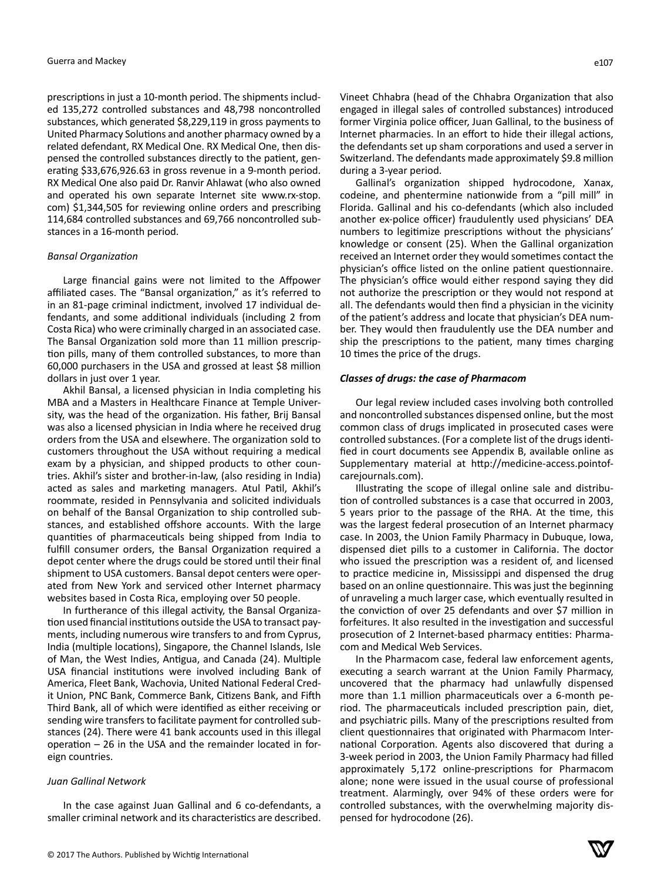prescriptions in just a 10-month period. The shipments included 135,272 controlled substances and 48,798 noncontrolled substances, which generated \$8,229,119 in gross payments to United Pharmacy Solutions and another pharmacy owned by a related defendant, RX Medical One. RX Medical One, then dispensed the controlled substances directly to the patient, generating \$33,676,926.63 in gross revenue in a 9-month period. RX Medical One also paid Dr. Ranvir Ahlawat (who also owned and operated his own separate Internet site www.rx-stop. com) \$1,344,505 for reviewing online orders and prescribing 114,684 controlled substances and 69,766 noncontrolled substances in a 16-month period.

#### *Bansal Organization*

Large financial gains were not limited to the Affpower affiliated cases. The "Bansal organization," as it's referred to in an 81-page criminal indictment, involved 17 individual defendants, and some additional individuals (including 2 from Costa Rica) who were criminally charged in an associated case. The Bansal Organization sold more than 11 million prescription pills, many of them controlled substances, to more than 60,000 purchasers in the USA and grossed at least \$8 million dollars in just over 1 year.

Akhil Bansal, a licensed physician in India completing his MBA and a Masters in Healthcare Finance at Temple University, was the head of the organization. His father, Brij Bansal was also a licensed physician in India where he received drug orders from the USA and elsewhere. The organization sold to customers throughout the USA without requiring a medical exam by a physician, and shipped products to other countries. Akhil's sister and brother-in-law, (also residing in India) acted as sales and marketing managers. Atul Patil, Akhil's roommate, resided in Pennsylvania and solicited individuals on behalf of the Bansal Organization to ship controlled substances, and established offshore accounts. With the large quantities of pharmaceuticals being shipped from India to fulfill consumer orders, the Bansal Organization required a depot center where the drugs could be stored until their final shipment to USA customers. Bansal depot centers were operated from New York and serviced other Internet pharmacy websites based in Costa Rica, employing over 50 people.

In furtherance of this illegal activity, the Bansal Organization used financial institutions outside the USA to transact payments, including numerous wire transfers to and from Cyprus, India (multiple locations), Singapore, the Channel Islands, Isle of Man, the West Indies, Antigua, and Canada (24). Multiple USA financial institutions were involved including Bank of America, Fleet Bank, Wachovia, United National Federal Credit Union, PNC Bank, Commerce Bank, Citizens Bank, and Fifth Third Bank, all of which were identified as either receiving or sending wire transfers to facilitate payment for controlled substances (24). There were 41 bank accounts used in this illegal operation – 26 in the USA and the remainder located in foreign countries.

## *Juan Gallinal Network*

In the case against Juan Gallinal and 6 co-defendants, a smaller criminal network and its characteristics are described. Vineet Chhabra (head of the Chhabra Organization that also engaged in illegal sales of controlled substances) introduced former Virginia police officer, Juan Gallinal, to the business of Internet pharmacies. In an effort to hide their illegal actions, the defendants set up sham corporations and used a server in Switzerland. The defendants made approximately \$9.8 million during a 3-year period.

Gallinal's organization shipped hydrocodone, Xanax, codeine, and phentermine nationwide from a "pill mill" in Florida. Gallinal and his co-defendants (which also included another ex-police officer) fraudulently used physicians' DEA numbers to legitimize prescriptions without the physicians' knowledge or consent (25). When the Gallinal organization received an Internet order they would sometimes contact the physician's office listed on the online patient questionnaire. The physician's office would either respond saying they did not authorize the prescription or they would not respond at all. The defendants would then find a physician in the vicinity of the patient's address and locate that physician's DEA number. They would then fraudulently use the DEA number and ship the prescriptions to the patient, many times charging 10 times the price of the drugs.

#### *Classes of drugs: the case of Pharmacom*

Our legal review included cases involving both controlled and noncontrolled substances dispensed online, but the most common class of drugs implicated in prosecuted cases were controlled substances. (For a complete list of the drugsidentified in court documents see Appendix B, available online as Supplementary material at http://medicine-access.pointofcarejournals.com).

Illustrating the scope of illegal online sale and distribution of controlled substances is a case that occurred in 2003, 5 years prior to the passage of the RHA. At the time, this was the largest federal prosecution of an Internet pharmacy case. In 2003, the Union Family Pharmacy in Dubuque, Iowa, dispensed diet pills to a customer in California. The doctor who issued the prescription was a resident of, and licensed to practice medicine in, Mississippi and dispensed the drug based on an online questionnaire. This was just the beginning of unraveling a much larger case, which eventually resulted in the conviction of over 25 defendants and over \$7 million in forfeitures. It also resulted in the investigation and successful prosecution of 2 Internet-based pharmacy entities: Pharmacom and Medical Web Services.

In the Pharmacom case, federal law enforcement agents, executing a search warrant at the Union Family Pharmacy, uncovered that the pharmacy had unlawfully dispensed more than 1.1 million pharmaceuticals over a 6-month period. The pharmaceuticals included prescription pain, diet, and psychiatric pills. Many of the prescriptions resulted from client questionnaires that originated with Pharmacom International Corporation. Agents also discovered that during a 3-week period in 2003, the Union Family Pharmacy had filled approximately 5,172 online-prescriptions for Pharmacom alone; none were issued in the usual course of professional treatment. Alarmingly, over 94% of these orders were for controlled substances, with the overwhelming majority dispensed for hydrocodone (26).

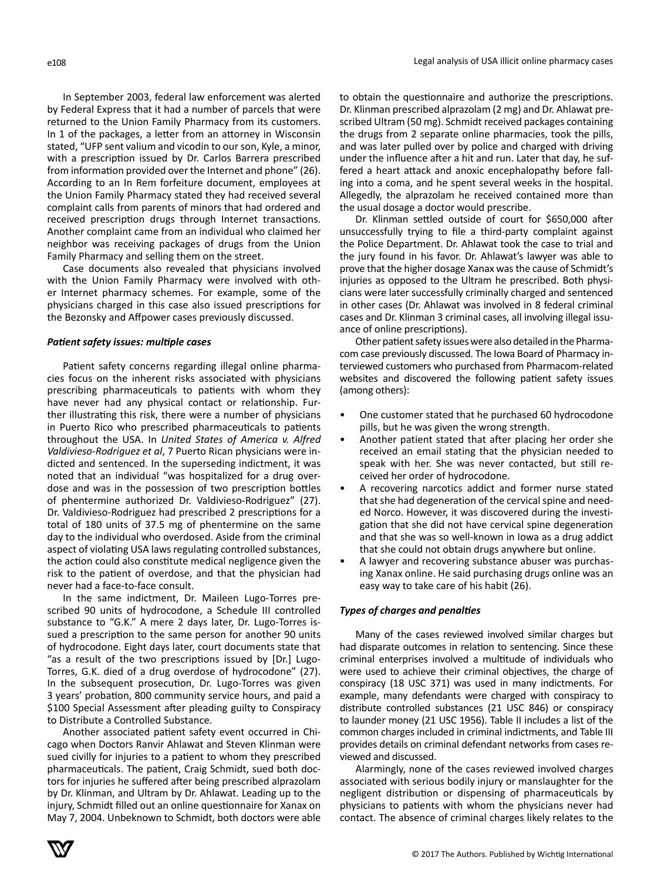In September 2003, federal law enforcement was alerted by Federal Express that it had a number of parcels that were returned to the Union Family Pharmacy from its customers. In 1 of the packages, a letter from an attorney in Wisconsin stated, "UFP sent valium and vicodin to ourson, Kyle, a minor, with a prescription issued by Dr. Carlos Barrera prescribed from information provided over the Internet and phone" (26). According to an In Rem forfeiture document, employees at the Union Family Pharmacy stated they had received several complaint calls from parents of minors that had ordered and received prescription drugs through Internet transactions. Another complaint came from an individual who claimed her neighbor was receiving packages of drugs from the Union Family Pharmacy and selling them on the street.

Case documents also revealed that physicians involved with the Union Family Pharmacy were involved with other Internet pharmacy schemes. For example, some of the physicians charged in this case also issued prescriptions for the Bezonsky and Affpower cases previously discussed.

## *Patient safety issues: multiple cases*

Patient safety concerns regarding illegal online pharmacies focus on the inherent risks associated with physicians prescribing pharmaceuticals to patients with whom they have never had any physical contact or relationship. Further illustrating this risk, there were a number of physicians in Puerto Rico who prescribed pharmaceuticals to patients throughout the USA. In *United States of America v. Alfred Valdivieso-Rodriguez et al*, 7 Puerto Rican physicians were indicted and sentenced. In the superseding indictment, it was noted that an individual "was hospitalized for a drug overdose and was in the possession of two prescription bottles of phentermine authorized Dr. Valdivieso-Rodriguez" (27). Dr. Valdivieso-Rodriguez had prescribed 2 prescriptions for a total of 180 units of 37.5 mg of phentermine on the same day to the individual who overdosed. Aside from the criminal aspect of violating USA laws regulating controlled substances, the action could also constitute medical negligence given the risk to the patient of overdose, and that the physician had never had a face-to-face consult.

In the same indictment, Dr. Maileen Lugo-Torres prescribed 90 units of hydrocodone, a Schedule III controlled substance to "G.K." A mere 2 days later, Dr. Lugo-Torres issued a prescription to the same person for another 90 units of hydrocodone. Eight days later, court documents state that "as a result of the two prescriptions issued by [Dr.] Lugo-Torres, G.K. died of a drug overdose of hydrocodone" (27). In the subsequent prosecution, Dr. Lugo-Torres was given 3 years' probation, 800 community service hours, and paid a \$100 Special Assessment after pleading guilty to Conspiracy to Distribute a Controlled Substance.

Another associated patient safety event occurred in Chicago when Doctors Ranvir Ahlawat and Steven Klinman were sued civilly for injuries to a patient to whom they prescribed pharmaceuticals. The patient, Craig Schmidt, sued both doctors for injuries he suffered after being prescribed alprazolam by Dr. Klinman, and Ultram by Dr. Ahlawat. Leading up to the injury, Schmidt filled out an online questionnaire for Xanax on May 7, 2004. Unbeknown to Schmidt, both doctors were able to obtain the questionnaire and authorize the prescriptions. Dr. Klinman prescribed alprazolam (2 mg) and Dr. Ahlawat prescribed Ultram (50 mg). Schmidt received packages containing the drugs from 2 separate online pharmacies, took the pills, and was later pulled over by police and charged with driving under the influence after a hit and run. Later that day, he suffered a heart attack and anoxic encephalopathy before falling into a coma, and he spent several weeks in the hospital. Allegedly, the alprazolam he received contained more than the usual dosage a doctor would prescribe.

Dr. Klinman settled outside of court for \$650,000 after unsuccessfully trying to file a third-party complaint against the Police Department. Dr. Ahlawat took the case to trial and the jury found in his favor. Dr. Ahlawat's lawyer was able to prove that the higher dosage Xanax wasthe cause of Schmidt's injuries as opposed to the Ultram he prescribed. Both physicians were later successfully criminally charged and sentenced in other cases (Dr. Ahlawat was involved in 8 federal criminal cases and Dr. Klinman 3 criminal cases, all involving illegal issuance of online prescriptions).

Other patient safety issues were also detailed in the Pharmacom case previously discussed. The Iowa Board of Pharmacy interviewed customers who purchased from Pharmacom-related websites and discovered the following patient safety issues (among others):

- One customer stated that he purchased 60 hydrocodone pills, but he was given the wrong strength.
- Another patient stated that after placing her order she received an email stating that the physician needed to speak with her. She was never contacted, but still received her order of hydrocodone.
- A recovering narcotics addict and former nurse stated that she had degeneration of the cervical spine and needed Norco. However, it was discovered during the investigation that she did not have cervical spine degeneration and that she was so well-known in Iowa as a drug addict that she could not obtain drugs anywhere but online.
- A lawyer and recovering substance abuser was purchasing Xanax online. He said purchasing drugs online was an easy way to take care of his habit (26).

# *Types of charges and penalties*

Many of the cases reviewed involved similar charges but had disparate outcomes in relation to sentencing. Since these criminal enterprises involved a multitude of individuals who were used to achieve their criminal objectives, the charge of conspiracy (18 USC 371) was used in many indictments. For example, many defendants were charged with conspiracy to distribute controlled substances (21 USC 846) or conspiracy to launder money (21 USC 1956). Table II includes a list of the common charges included in criminal indictments, and Table III provides details on criminal defendant networks from cases reviewed and discussed.

Alarmingly, none of the cases reviewed involved charges associated with serious bodily injury or manslaughter for the negligent distribution or dispensing of pharmaceuticals by physicians to patients with whom the physicians never had contact. The absence of criminal charges likely relates to the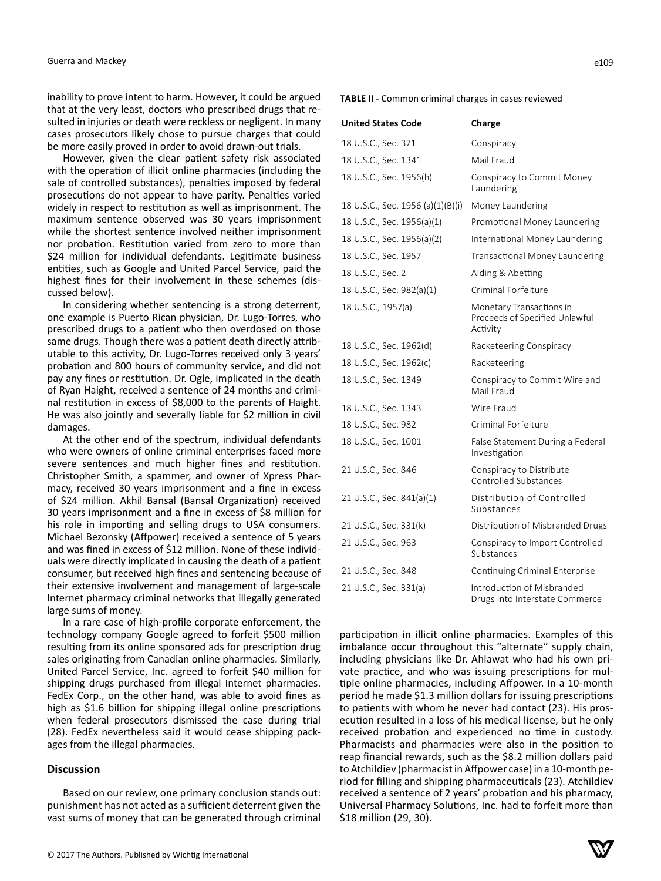inability to prove intent to harm. However, it could be argued that at the very least, doctors who prescribed drugs that resulted in injuries or death were reckless or negligent. In many cases prosecutors likely chose to pursue charges that could be more easily proved in order to avoid drawn-out trials.

However, given the clear patient safety risk associated with the operation of illicit online pharmacies (including the sale of controlled substances), penalties imposed by federal prosecutions do not appear to have parity. Penalties varied widely in respect to restitution as well as imprisonment. The maximum sentence observed was 30 years imprisonment while the shortest sentence involved neither imprisonment nor probation. Restitution varied from zero to more than \$24 million for individual defendants. Legitimate business entities, such as Google and United Parcel Service, paid the highest fines for their involvement in these schemes (discussed below).

In considering whether sentencing is a strong deterrent, one example is Puerto Rican physician, Dr. Lugo-Torres, who prescribed drugs to a patient who then overdosed on those same drugs. Though there was a patient death directly attributable to this activity, Dr. Lugo-Torres received only 3 years' probation and 800 hours of community service, and did not pay any fines or restitution. Dr. Ogle, implicated in the death of Ryan Haight, received a sentence of 24 months and criminal restitution in excess of \$8,000 to the parents of Haight. He was also jointly and severally liable for \$2 million in civil damages.

At the other end of the spectrum, individual defendants who were owners of online criminal enterprises faced more severe sentences and much higher fines and restitution. Christopher Smith, a spammer, and owner of Xpress Pharmacy, received 30 years imprisonment and a fine in excess of \$24 million. Akhil Bansal (Bansal Organization) received 30 years imprisonment and a fine in excess of \$8 million for his role in importing and selling drugs to USA consumers. Michael Bezonsky (Affpower) received a sentence of 5 years and was fined in excess of \$12 million. None of these individuals were directly implicated in causing the death of a patient consumer, but received high fines and sentencing because of their extensive involvement and management of large-scale Internet pharmacy criminal networks that illegally generated large sums of money.

In a rare case of high-profile corporate enforcement, the technology company Google agreed to forfeit \$500 million resulting from its online sponsored ads for prescription drug sales originating from Canadian online pharmacies. Similarly, United Parcel Service, Inc. agreed to forfeit \$40 million for shipping drugs purchased from illegal Internet pharmacies. FedEx Corp., on the other hand, was able to avoid fines as high as \$1.6 billion for shipping illegal online prescriptions when federal prosecutors dismissed the case during trial (28). FedEx nevertheless said it would cease shipping packages from the illegal pharmacies.

## **Discussion**

Based on our review, one primary conclusion stands out: punishment has not acted as a sufficient deterrent given the vast sums of money that can be generated through criminal **TABLE II -** Common criminal charges in cases reviewed

| <b>United States Code</b>         | Charge                                                                 |
|-----------------------------------|------------------------------------------------------------------------|
| 18 U.S.C., Sec. 371               | Conspiracy                                                             |
| 18 U.S.C., Sec. 1341              | Mail Fraud                                                             |
| 18 U.S.C., Sec. 1956(h)           | Conspiracy to Commit Money<br>Laundering                               |
| 18 U.S.C., Sec. 1956 (a)(1)(B)(i) | Money Laundering                                                       |
| 18 U.S.C., Sec. 1956(a)(1)        | Promotional Money Laundering                                           |
| 18 U.S.C., Sec. 1956(a)(2)        | International Money Laundering                                         |
| 18 U.S.C., Sec. 1957              | <b>Transactional Money Laundering</b>                                  |
| 18 U.S.C., Sec. 2                 | Aiding & Abetting                                                      |
| 18 U.S.C., Sec. 982(a)(1)         | <b>Criminal Forfeiture</b>                                             |
| 18 U.S.C., 1957(a)                | Monetary Transactions in<br>Proceeds of Specified Unlawful<br>Activity |
| 18 U.S.C., Sec. 1962(d)           | Racketeering Conspiracy                                                |
| 18 U.S.C., Sec. 1962(c)           | Racketeering                                                           |
| 18 U.S.C., Sec. 1349              | Conspiracy to Commit Wire and<br>Mail Fraud                            |
| 18 U.S.C., Sec. 1343              | Wire Fraud                                                             |
| 18 U.S.C., Sec. 982               | Criminal Forfeiture                                                    |
| 18 U.S.C., Sec. 1001              | False Statement During a Federal<br>Investigation                      |
| 21 U.S.C., Sec. 846               | Conspiracy to Distribute<br>Controlled Substances                      |
| 21 U.S.C., Sec. 841(a)(1)         | Distribution of Controlled<br>Substances                               |
| 21 U.S.C., Sec. 331(k)            | Distribution of Misbranded Drugs                                       |
| 21 U.S.C., Sec. 963               | Conspiracy to Import Controlled<br>Substances                          |
| 21 U.S.C., Sec. 848               | <b>Continuing Criminal Enterprise</b>                                  |
| 21 U.S.C., Sec. 331(a)            | Introduction of Misbranded<br>Drugs Into Interstate Commerce           |

participation in illicit online pharmacies. Examples of this imbalance occur throughout this "alternate" supply chain, including physicians like Dr. Ahlawat who had his own private practice, and who was issuing prescriptions for multiple online pharmacies, including Affpower. In a 10-month period he made \$1.3 million dollars for issuing prescriptions to patients with whom he never had contact (23). His prosecution resulted in a loss of his medical license, but he only received probation and experienced no time in custody. Pharmacists and pharmacies were also in the position to reap financial rewards, such as the \$8.2 million dollars paid to Atchildiev (pharmacistin Affpower case) in a 10-month period for filling and shipping pharmaceuticals (23). Atchildiev received a sentence of 2 years' probation and his pharmacy, Universal Pharmacy Solutions, Inc. had to forfeit more than \$18 million (29, 30).

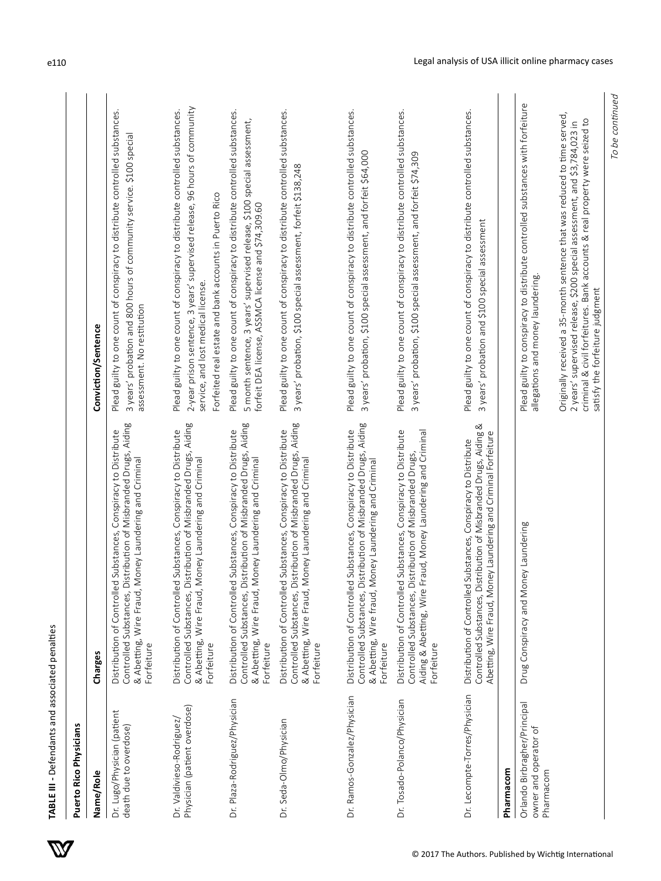| Puerto Rico Physicians                                             |                                                                                                                                                                                                                 |                                                                                                                                                                                                                                                                        |
|--------------------------------------------------------------------|-----------------------------------------------------------------------------------------------------------------------------------------------------------------------------------------------------------------|------------------------------------------------------------------------------------------------------------------------------------------------------------------------------------------------------------------------------------------------------------------------|
| Name/Role                                                          | Charges                                                                                                                                                                                                         | Conviction/Sentence                                                                                                                                                                                                                                                    |
| Dr. Lugo/Physician (patient<br>death due to overdose)              | Controlled Substances, Distribution of Misbranded Drugs, Aiding<br>Conspiracy to Distribute<br>Money Laundering and Criminal<br>Distribution of Controlled Substances,<br>& Abetting, Wire Fraud,<br>Forfeiture | Plead guilty to one count of conspiracy to distribute controlled substances.<br>3 years' probation and 800 hours of community service. \$100 special<br>assessment. No restitution                                                                                     |
| Physician (patient overdose)<br>Dr. Valdivieso-Rodriguez/          | Controlled Substances, Distribution of Misbranded Drugs, Aiding<br>Distribution of Controlled Substances, Conspiracy to Distribute<br>Money Laundering and Criminal<br>& Abetting, Wire Fraud,<br>Forfeiture    | 2-year prison sentence, 3 years' supervised release, 96 hours of community<br>Plead guilty to one count of conspiracy to distribute controlled substances.<br>Forfeited real estate and bank accounts in Puerto Rico<br>service, and lost medical license.             |
| Dr. Plaza-Rodriguez/Physician                                      | Controlled Substances, Distribution of Misbranded Drugs, Aiding<br>Distribution of Controlled Substances, Conspiracy to Distribute<br>Money Laundering and Criminal<br>& Abetting, Wire Fraud,<br>Forfeiture    | Plead guilty to one count of conspiracy to distribute controlled substances.<br>5 month sentence, 3 years' supervised release, \$100 special assessment,<br>forfeit DEA license, ASSMCA license and \$74,309.60                                                        |
| Dr. Seda-Olmo/Physician                                            | Controlled Substances, Distribution of Misbranded Drugs, Aiding<br>Distribution of Controlled Substances, Conspiracy to Distribute<br>Money Laundering and Criminal<br>& Abetting, Wire Fraud,<br>Forfeiture    | Plead guilty to one count of conspiracy to distribute controlled substances.<br>3 years' probation, \$100 special assessment, forfeit \$138,248                                                                                                                        |
| Dr. Ramos-Gonzalez/Physician                                       | Controlled Substances, Distribution of Misbranded Drugs, Aiding<br>Distribution of Controlled Substances, Conspiracy to Distribute<br>Money Laundering and Criminal<br>& Abetting, Wire fraud,<br>Forfeiture    | Plead guilty to one count of conspiracy to distribute controlled substances.<br>3 years' probation, \$100 special assessment, and forfeit \$64,000                                                                                                                     |
| Dr. Tosado-Polanco/Physician                                       | Distribution of Controlled Substances, Conspiracy to Distribute<br>Fraud, Money Laundering and Criminal<br>Controlled Substances, Distribution of Misbranded Drugs,<br>Aiding & Abetting, Wire<br>Forfeiture    | Plead guilty to one count of conspiracy to distribute controlled substances.<br>3 years' probation, \$100 special assessment, and forfeit \$74,309                                                                                                                     |
| Dr. Lecompte-Torres/Physician                                      | ವ<br>Controlled Substances, Distribution of Misbranded Drugs, Aiding<br>Abetting, Wire Fraud, Money Laundering and Criminal Forfeiture<br>Substances, Conspiracy to Distribute<br>Distribution of Controlled    | Plead guilty to one count of conspiracy to distribute controlled substances.<br>3 years' probation and \$100 special assessment                                                                                                                                        |
| Pharmacom                                                          |                                                                                                                                                                                                                 |                                                                                                                                                                                                                                                                        |
| Orlando Birbragher/Principal<br>owner and operator of<br>Pharmacom | Drug Conspiracy and Money Laundering                                                                                                                                                                            | Plead guilty to conspiracy to distribute controlled substances with forfeiture<br>allegations and money laundering.                                                                                                                                                    |
|                                                                    |                                                                                                                                                                                                                 | Originally received a 35-month sentence that was reduced to time served,<br>criminal & civil forfeitures. Bank accounts & real property were seized to<br>2 years' supervised release, \$200 special assessment, and \$3,784,023 in<br>satisfy the forfeiture judgment |
|                                                                    |                                                                                                                                                                                                                 | To be continued                                                                                                                                                                                                                                                        |

**TABLE III -** Defendants and associated penalties

 $\mathbb Z$ 

TABLE III - Defendants and associated penalties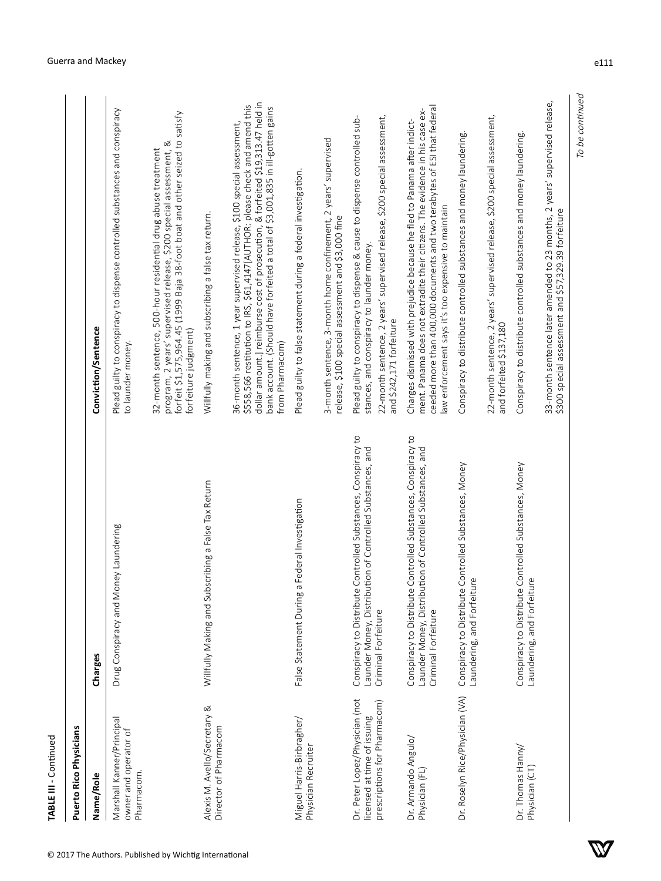| S |
|---|
|   |
|   |
|   |
|   |
|   |
|   |
|   |
| ľ |
|   |
| í |
|   |
|   |
|   |
|   |
|   |
|   |
|   |

| <b>Puerto Rico Physicians</b>                                                                 |                                                                                                                                                   |                                                                                                                                                                                                                                                                                                                                                |
|-----------------------------------------------------------------------------------------------|---------------------------------------------------------------------------------------------------------------------------------------------------|------------------------------------------------------------------------------------------------------------------------------------------------------------------------------------------------------------------------------------------------------------------------------------------------------------------------------------------------|
| Name/Role                                                                                     | Charges                                                                                                                                           | Conviction/Sentence                                                                                                                                                                                                                                                                                                                            |
| Marshall Kanner/Principal<br>owner and operator of<br>Pharmacom.                              | Drug Conspiracy and Money Laundering                                                                                                              | Plead guilty to conspiracy to dispense controlled substances and conspiracy<br>to launder money.                                                                                                                                                                                                                                               |
|                                                                                               |                                                                                                                                                   | forfeit \$1,575,964.45 (1999 Baja 38-foot boat and other seized to satisfy<br>program, 2 years' supervised release, \$200 special assessment, &<br>32-month sentence, 500-hour residential drug abuse treatment<br>forfeiture judgment)                                                                                                        |
| Alexis M. Avello/Secretary &<br>Director of Pharmacom                                         | Willfully Making and Subscribing a False Tax Return                                                                                               | Willfully making and subscribing a false tax return.                                                                                                                                                                                                                                                                                           |
|                                                                                               |                                                                                                                                                   | dollar amount.] reimburse cost of prosecution, & forfeited \$19,313.47 held in<br>36-month sentence, 1 year supervised release, \$100 special assessment,<br>\$558,566 restitution to IRS, \$61,4147[AUTHOR: please check and amend this<br>bank account. (Should have forfeited a total of \$3,001,835 in ill-gotten gains<br>from Pharmacom) |
| Miguel Harris-Birbragher/<br>Physician Recruiter                                              | False Statement During a Federal Investigation                                                                                                    | Plead guilty to false statement during a federal investigation.                                                                                                                                                                                                                                                                                |
|                                                                                               |                                                                                                                                                   | 3-month sentence, 3-month home confinement, 2 years' supervised<br>release, \$100 special assessment and \$3,000 fine                                                                                                                                                                                                                          |
| Dr. Peter Lopez/Physician (not<br>prescriptions for Pharmacom)<br>licensed at time of issuing | Conspiracy to Distribute Controlled Substances, Conspiracy to<br>Launder Money, Distribution of Controlled Substances, and<br>Criminal Forfeiture | 22-month sentence, 2 years' supervised release, \$200 special assessment,<br>Plead guilty to conspiracy to dispense & cause to dispense controlled sub-<br>stances, and conspiracy to launder money.<br>and \$242,171 forfeiture                                                                                                               |
| Dr. Armando Angulo/<br>Physician (FL)                                                         | Conspiracy to Distribute Controlled Substances, Conspiracy to<br>Launder Money, Distribution of Controlled Substances, and<br>Criminal Forfeiture | ceeded more than 400,000 documents and two terabytes of ESI that federal<br>ment. Panama does not extradite their citizens. The evidence in his case ex-<br>Charges dismissed with prejudice because he fled to Panama after indict-<br>aw enforcement says it's too expensive to maintain                                                     |
| Dr. Roselyn Rice/Physician (VA)                                                               | Conspiracy to Distribute Controlled Substances, Money<br>Laundering, and Forfeiture                                                               | Conspiracy to distribute controlled substances and money laundering.                                                                                                                                                                                                                                                                           |
|                                                                                               |                                                                                                                                                   | 22-month sentence, 2 years' supervised release, \$200 special assessment,<br>and forfeited \$137,180                                                                                                                                                                                                                                           |
| Dr. Thomas Hanny/<br>Physician (CT)                                                           | Conspiracy to Distribute Controlled Substances, Money<br>Laundering, and Forfeiture                                                               | Conspiracy to distribute controlled substances and money laundering.                                                                                                                                                                                                                                                                           |
|                                                                                               |                                                                                                                                                   | 33-month sentence later amended to 23 months, 2 years' supervised release,<br>\$300 special assessment and \$57,329.39 forfeiture                                                                                                                                                                                                              |

To be continued To be continued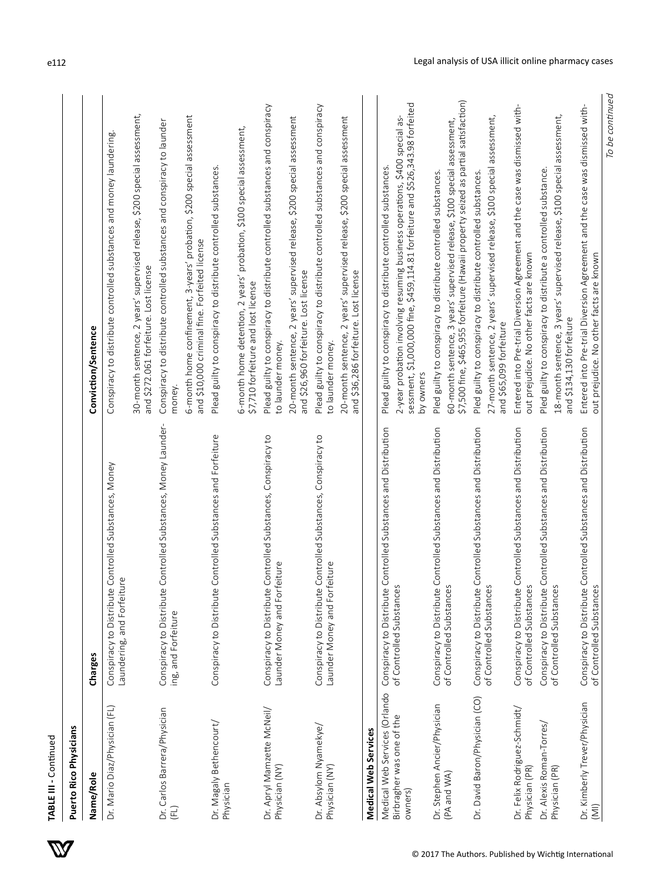| <b>Puerto Rico Physicians</b>                     |                                                                                                       |                                                                                                                                                                           |
|---------------------------------------------------|-------------------------------------------------------------------------------------------------------|---------------------------------------------------------------------------------------------------------------------------------------------------------------------------|
| Name/Role                                         | Charges                                                                                               | Conviction/Sentence                                                                                                                                                       |
| Dr. Mario Diaz/Physician (FL)                     | Controlled Substances, Money<br>Laundering, and Forfeiture<br>Conspiracy to Distribute                | Conspiracy to distribute controlled substances and money laundering                                                                                                       |
|                                                   |                                                                                                       | 30-month sentence, 2 years' supervised release, \$200 special assessment,<br>and \$272.061 forfeiture. Lost license                                                       |
| Dr. Carlos Barrera/Physician<br>(FL)              | Controlled Substances, Money Launder-<br>Conspiracy to Distribute<br>ing, and Forfeiture              | Conspiracy to distribute controlled substances and conspiracy to launder<br>money                                                                                         |
|                                                   |                                                                                                       | 6-month home confinement, 3-years' probation, \$200 special assessment<br>and \$10,000 criminal fine. Forfeited license                                                   |
| Dr. Magaly Bethencourt/<br>Physician              | Controlled Substances and Forfeiture<br>Conspiracy to Distribute                                      | Plead guilty to conspiracy to distribute controlled substances.                                                                                                           |
|                                                   |                                                                                                       | 6-month home detention, 2 years' probation, \$100 special assessment,<br>\$7,710 forfeiture and lost license                                                              |
| Dr. Apryl Mamzette McNeil/<br>Physician (NY)      | Controlled Substances, Conspiracy to<br>feiture<br>Conspiracy to Distribute<br>Launder Money and Forf | Plead guilty to conspiracy to distribute controlled substances and conspiracy<br>to launder money.                                                                        |
|                                                   |                                                                                                       | 20-month sentence, 2 years' supervised release, \$200 special assessment<br>and \$26,960 forfeiture. Lost license                                                         |
| Dr. Absylom Nyamekye/<br>Physician (NY)           | Controlled Substances, Conspiracy to<br>eiture<br>Conspiracy to Distribute<br>Launder Money and Forf  | Plead guilty to conspiracy to distribute controlled substances and conspiracy<br>to launder money.                                                                        |
|                                                   |                                                                                                       | 20-month sentence, 2 years' supervised release, \$200 special assessment<br>and \$36,286 forfeiture. Lost license                                                         |
| <b>Medical Web Services</b>                       |                                                                                                       |                                                                                                                                                                           |
| Medical Web Services (Orlando                     | Controlled Substances and Distribution<br>Conspiracy to Distribute                                    | Plead guilty to conspiracy to distribute controlled substances.                                                                                                           |
| Birbragher was one of the<br>owners)              | of Controlled Substances                                                                              | sessment, \$1,000,000 fine, \$459,114.81 forfeiture and \$526,343.98 forfeited<br>2-year probation involving resuming business operations, \$400 special as-<br>by owners |
| Dr. Stephen Ancier/Physician                      | Controlled Substances and Distribution<br>Conspiracy to Distribute                                    | Pled guilty to conspiracy to distribute controlled substances.                                                                                                            |
| (PA and WA)                                       | of Controlled Substances                                                                              | \$7,500 fine, \$465,955 forfeiture (Hawaii property seized as partial satisfaction)<br>60-month sentence, 3 years' supervised release, \$100 special assessment,          |
| Dr. David Baron/Physician (CO)                    | Controlled Substances and Distribution<br>Conspiracy to Distribute<br>of Controlled Substances        | 27-month sentence, 2 years' supervised release, \$100 special assessment,<br>Pled guilty to conspiracy to distribute controlled substances<br>and \$65,099 forfeiture     |
| Dr. Felix Rodriguez-Schmidt/<br>Physician (PR)    | Controlled Substances and Distribution<br>Conspiracy to Distribute<br>of Controlled Substances        | Entered into Pre-trial Diversion Agreement and the case was dismissed with-<br>out prejudice. No other facts are known                                                    |
| Dr. Alexis Roman-Torres/<br>Physician (PR)        | Controlled Substances and Distribution<br>Conspiracy to Distribute<br>of Controlled Substances        | 18-month sentence, 3 years' supervised release, \$100 special assessment,<br>Pled guilty to conspiracy to distribute a controlled substance.<br>and \$134,130 forfeiture  |
| Dr. Kimberly Trever/Physician<br>$\sum_{i=1}^{n}$ | Controlled Substances and Distribution<br>Conspiracy to Distribute<br>of Controlled Substances        | Entered into Pre-trial Diversion Agreement and the case was dismissed with-<br>out prejudice. No other facts are known                                                    |

**TABLE III -** Continued

TABLE III - Continued

 $\varpi$ 

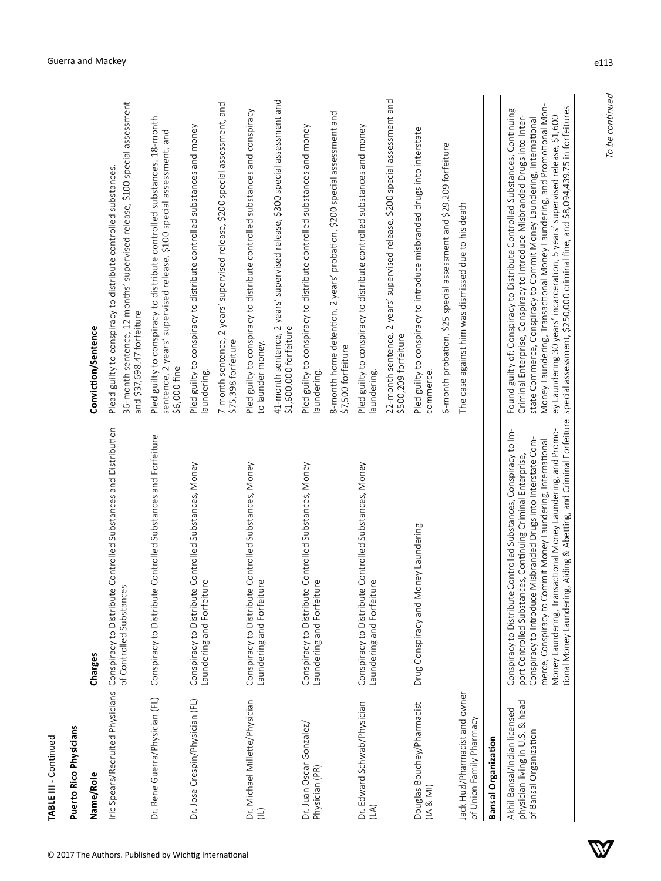| l |
|---|
| ć |
|   |
|   |
|   |
|   |
|   |
|   |
|   |
|   |
|   |
|   |

| <b>Puerto Rico Physicians</b>                                                             |                                                                                                                                                                                                                                                                                                                                                                                                            |                                                                                                                                                                                                                                                                                                                                                                                                                                                                             |
|-------------------------------------------------------------------------------------------|------------------------------------------------------------------------------------------------------------------------------------------------------------------------------------------------------------------------------------------------------------------------------------------------------------------------------------------------------------------------------------------------------------|-----------------------------------------------------------------------------------------------------------------------------------------------------------------------------------------------------------------------------------------------------------------------------------------------------------------------------------------------------------------------------------------------------------------------------------------------------------------------------|
| Name/Role                                                                                 | Charges                                                                                                                                                                                                                                                                                                                                                                                                    | Conviction/Sentence                                                                                                                                                                                                                                                                                                                                                                                                                                                         |
| Iric Spears/Recruited Physicians                                                          | Conspiracy to Distribute Controlled Substances and Distribution<br>of Controlled Substances                                                                                                                                                                                                                                                                                                                | 36-month sentence, 12 months' supervised release, \$100 special assessment<br>Plead guilty to conspiracy to distribute controlled substances.<br>and \$37,698.47 forfeiture                                                                                                                                                                                                                                                                                                 |
| Dr. Rene Guerra/Physician (FL)                                                            | Controlled Substances and Forfeiture<br>Conspiracy to Distribute                                                                                                                                                                                                                                                                                                                                           | Pled guilty to conspiracy to distribute controlled substances. 18-month<br>sentence, 2 years' supervised release, \$100 special assessment, and<br>\$6,000 fine                                                                                                                                                                                                                                                                                                             |
| Dr. Jose Crespin/Physician (FL)                                                           | Conspiracy to Distribute Controlled Substances, Money<br>Laundering and Forfeiture                                                                                                                                                                                                                                                                                                                         | Pled guilty to conspiracy to distribute controlled substances and money<br>laundering.                                                                                                                                                                                                                                                                                                                                                                                      |
|                                                                                           |                                                                                                                                                                                                                                                                                                                                                                                                            | 7-month sentence, 2 years' supervised release, \$200 special assessment, and<br>\$75,398 forfeiture                                                                                                                                                                                                                                                                                                                                                                         |
| Dr. Michael Millette/Physician<br>$\supseteq$                                             | Conspiracy to Distribute Controlled Substances, Money<br>Laundering and Forfeiture                                                                                                                                                                                                                                                                                                                         | Pled guilty to conspiracy to distribute controlled substances and conspiracy<br>to launder money.                                                                                                                                                                                                                                                                                                                                                                           |
|                                                                                           |                                                                                                                                                                                                                                                                                                                                                                                                            | 41-month sentence, 2 years' supervised release, \$300 special assessment and<br>\$1,600.000 forfeiture                                                                                                                                                                                                                                                                                                                                                                      |
| Dr. Juan Oscar Gonzalez/<br>Physician (PR)                                                | Conspiracy to Distribute Controlled Substances, Money<br>Laundering and Forfeiture                                                                                                                                                                                                                                                                                                                         | Pled guilty to conspiracy to distribute controlled substances and money<br>laundering.                                                                                                                                                                                                                                                                                                                                                                                      |
|                                                                                           |                                                                                                                                                                                                                                                                                                                                                                                                            | 8-month home detention, 2 years' probation, \$200 special assessment and<br>\$7,500 forfeiture                                                                                                                                                                                                                                                                                                                                                                              |
| Dr. Edward Schwab/Physician<br>(1A)                                                       | Conspiracy to Distribute Controlled Substances, Money<br>Laundering and Forfeiture                                                                                                                                                                                                                                                                                                                         | Pled guilty to conspiracy to distribute controlled substances and money<br>laundering.                                                                                                                                                                                                                                                                                                                                                                                      |
|                                                                                           |                                                                                                                                                                                                                                                                                                                                                                                                            | 22-month sentence, 2 years' supervised release, \$200 special assessment and<br>\$500,209 forfeiture                                                                                                                                                                                                                                                                                                                                                                        |
| Douglas Bouchey/Pharmacist<br>(IA & M1)                                                   | oney Laundering<br>Drug Conspiracy and M                                                                                                                                                                                                                                                                                                                                                                   | Pled guilty to conspiracy to introduce misbranded drugs into interstate<br>commerce.                                                                                                                                                                                                                                                                                                                                                                                        |
|                                                                                           |                                                                                                                                                                                                                                                                                                                                                                                                            | 6-month probation, \$25 special assessment and \$29,209 forfeiture                                                                                                                                                                                                                                                                                                                                                                                                          |
| Jack Huzl/Pharmacist and owner<br>of Union Family Pharmacy                                |                                                                                                                                                                                                                                                                                                                                                                                                            | The case against him was dismissed due to his death                                                                                                                                                                                                                                                                                                                                                                                                                         |
| <b>Bansal Organization</b>                                                                |                                                                                                                                                                                                                                                                                                                                                                                                            |                                                                                                                                                                                                                                                                                                                                                                                                                                                                             |
| physician living in U.S. & head<br>Akhil Bansal/Indian licensed<br>of Bansal Organization | tional Money Laundering, Aiding & Abetting, and Criminal Forfeiture<br>Controlled Substances, Conspiracy to Im-<br>Money Laundering, Transactional Money Laundering, and Promo-<br>Conspiracy to Introduce Misbranded Drugs into Interstate Com-<br>merce, Conspiracy to Commit Money Laundering, International<br>port Controlled Substances, Continuing Criminal Enterprise,<br>Conspiracy to Distribute | Money Laundering, Transactional Money Laundering, and Promotional Mon-<br>special assessment, \$250,000 criminal fine, and \$8,094,439.75 in forfeitures<br>Found guilty of: Conspiracy to Distribute Controlled Substances, Continuing<br>ey Laundering 30 years' incarceration, 5 years' supervised release, \$1,600<br>Criminal Enterprise, Conspiracy to Introduce Misbranded Drugs into Inter-<br>state Commerce, Conspiracy to Commit Money Laundering, International |

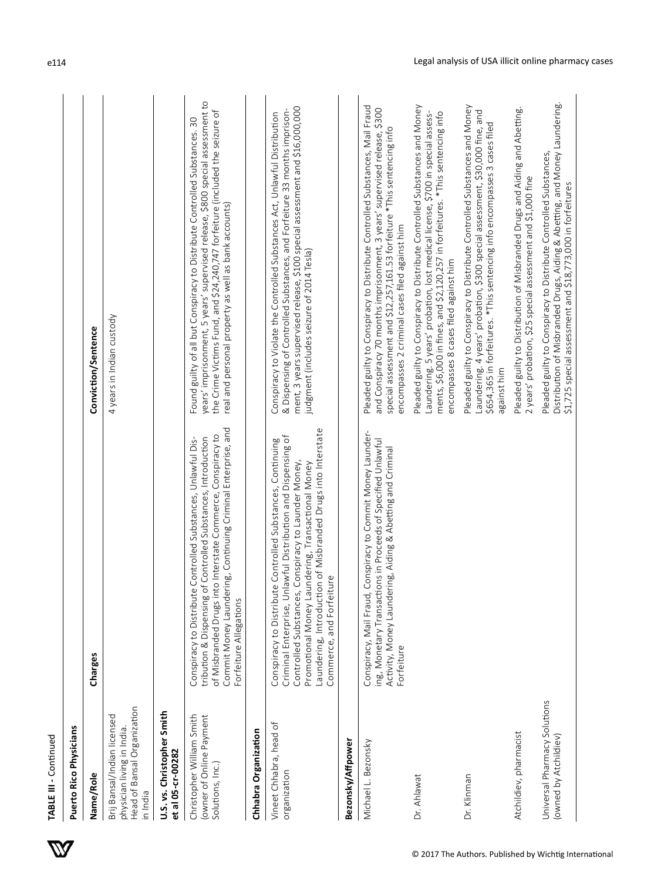| TABLE III - Continued                                                                               |                                                                                                                                                                                                                                                                                                                                       |                                                                                                                                                                                                                                                                                                     |
|-----------------------------------------------------------------------------------------------------|---------------------------------------------------------------------------------------------------------------------------------------------------------------------------------------------------------------------------------------------------------------------------------------------------------------------------------------|-----------------------------------------------------------------------------------------------------------------------------------------------------------------------------------------------------------------------------------------------------------------------------------------------------|
| Puerto Rico Physicians                                                                              |                                                                                                                                                                                                                                                                                                                                       |                                                                                                                                                                                                                                                                                                     |
| Name/Role                                                                                           | Charges                                                                                                                                                                                                                                                                                                                               | Conviction/Sentence                                                                                                                                                                                                                                                                                 |
| Head of Bansal Organization<br>Brij Bansal/Indian licensed<br>physician living in India<br>in India |                                                                                                                                                                                                                                                                                                                                       | 4 years in Indian custody                                                                                                                                                                                                                                                                           |
| U.S. vs. Christopher Smith<br>et al 05-cr-00282                                                     |                                                                                                                                                                                                                                                                                                                                       |                                                                                                                                                                                                                                                                                                     |
| Christopher William Smith<br>owner of Online Payment<br>Solutions, Inc.)                            | Commit Money Laundering, Continuing Criminal Enterprise, and<br>of Misbranded Drugs into Interstate Commerce, Conspiracy to<br>tribution & Dispensing of Controlled Substances, Introduction<br>Controlled Substances, Unlawful Dis-<br>Conspiracy to Distribute<br>Forfeiture Allegations                                            | years' imprisonment, 5 years' supervised release, \$800 special assessment to<br>the Crime Victims Fund, and \$24,240,747 forfeiture (included the seizure of<br>Found guilty of all but Conspiracy to Distribute Controlled Substances. 30<br>real and personal property as well as bank accounts) |
| Chhabra Organization                                                                                |                                                                                                                                                                                                                                                                                                                                       |                                                                                                                                                                                                                                                                                                     |
| Vineet Chhabra, head of<br>organization                                                             | Laundering, Introduction of Misbranded Drugs into Interstate<br>Conspiracy to Distribute Controlled Substances, Continuing<br>Criminal Enterprise, Unlawful Distribution and Dispensing of<br>Conspiracy to Launder Money,<br>Promotional Money Laundering, Transactional Money<br>Commerce, and Forfeiture<br>Controlled Substances, | ment, 3 years supervised release, \$100 special assessment and \$16,000,000<br>& Dispensing of Controlled Substances, and Forfeiture 33 months imprison-<br>Conspiracy to Violate the Controlled Substances Act, Unlawful Distribution<br>judgment (includes seizure of 2014 Tesla)                 |
| Bezonsky/Affpower                                                                                   |                                                                                                                                                                                                                                                                                                                                       |                                                                                                                                                                                                                                                                                                     |
| Michael L. Bezonsky                                                                                 | Conspiracy to Commit Money Launder-<br>ing, Monetary Transactions in Proceeds of Specified Unlawful<br>Activity, Money Laundering, Aiding & Abetting and Criminal<br>Conspiracy, Mail Fraud,<br>Forfeiture                                                                                                                            | Pleaded guilty to Conspiracy to Distribute Controlled Substances, Mail Fraud<br>and Conspiracy 70 months imprisonment, 3 years' supervised release, \$300<br>special assessment and \$12,257,161.53 forfeiture *This sentencing info<br>encompasses 2 criminal cases filed against him              |
| Dr. Ahlawat                                                                                         |                                                                                                                                                                                                                                                                                                                                       | Pleaded guilty to Conspiracy to Distribute Controlled Substances and Money<br>ments, \$6,000 in fines, and \$2,120,257 in forfeitures. *This sentencing info<br>Laundering. 5 years' probation, lost medical license, \$700 in special assess-<br>encompasses 8 cases filed against him             |
| Dr. Klinman                                                                                         |                                                                                                                                                                                                                                                                                                                                       | Pleaded guilty to Conspiracy to Distribute Controlled Substances and Money<br>Laundering. 4 years' probation, \$300 special assessment, \$30,000 fine, and<br>\$654,365 in forfeitures. *This sentencing info encompasses 3 cases filed<br>against him                                              |
| Atchildiev, pharmacist                                                                              |                                                                                                                                                                                                                                                                                                                                       | Pleaded guilty to Distribution of Misbranded Drugs and Aiding and Abetting.<br>2 years' probation, \$25 special assessment and \$1,000 fine                                                                                                                                                         |
| Universal Pharmacy Solutions<br>(owned by Atchildiev)                                               |                                                                                                                                                                                                                                                                                                                                       | Distribution of Misbranded Drugs, Aiding & Abetting, and Money Laundering,<br>\$1,725 special assessment and \$18,773,000 in forfeitures<br>Pleaded guilty to Conspiracy to Distribute Controlled Substances,                                                                                       |
|                                                                                                     |                                                                                                                                                                                                                                                                                                                                       |                                                                                                                                                                                                                                                                                                     |

 $\mathbb Z$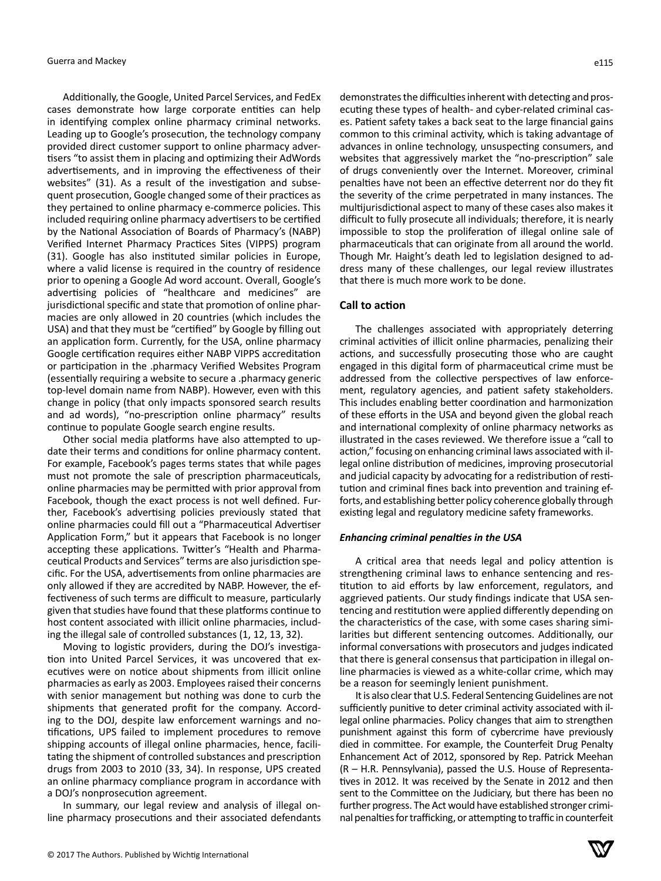Additionally, the Google, United Parcel Services, and FedEx cases demonstrate how large corporate entities can help in identifying complex online pharmacy criminal networks. Leading up to Google's prosecution, the technology company provided direct customer support to online pharmacy advertisers "to assist them in placing and optimizing their AdWords advertisements, and in improving the effectiveness of their websites" (31). As a result of the investigation and subsequent prosecution, Google changed some of their practices as they pertained to online pharmacy e-commerce policies. This included requiring online pharmacy advertisers to be certified by the National Association of Boards of Pharmacy's (NABP) Verified Internet Pharmacy Practices Sites (VIPPS) program (31). Google has also instituted similar policies in Europe, where a valid license is required in the country of residence prior to opening a Google Ad word account. Overall, Google's advertising policies of "healthcare and medicines" are jurisdictional specific and state that promotion of online pharmacies are only allowed in 20 countries (which includes the USA) and that they must be "certified" by Google by filling out an application form. Currently, for the USA, online pharmacy Google certification requires either NABP VIPPS accreditation or participation in the .pharmacy Verified Websites Program (essentially requiring a website to secure a .pharmacy generic top-level domain name from NABP). However, even with this change in policy (that only impacts sponsored search results and ad words), "no-prescription online pharmacy" results continue to populate Google search engine results.

Other social media platforms have also attempted to update their terms and conditions for online pharmacy content. For example, Facebook's pages terms states that while pages must not promote the sale of prescription pharmaceuticals, online pharmacies may be permitted with prior approval from Facebook, though the exact process is not well defined. Further, Facebook's advertising policies previously stated that online pharmacies could fill out a "Pharmaceutical Advertiser Application Form," but it appears that Facebook is no longer accepting these applications. Twitter's "Health and Pharmaceutical Products and Services" terms are also jurisdiction specific. For the USA, advertisements from online pharmacies are only allowed if they are accredited by NABP. However, the effectiveness of such terms are difficult to measure, particularly given that studies have found that these platforms continue to host content associated with illicit online pharmacies, including the illegal sale of controlled substances (1, 12, 13, 32).

Moving to logistic providers, during the DOJ's investigation into United Parcel Services, it was uncovered that executives were on notice about shipments from illicit online pharmacies as early as 2003. Employeesraised their concerns with senior management but nothing was done to curb the shipments that generated profit for the company. According to the DOJ, despite law enforcement warnings and notifications, UPS failed to implement procedures to remove shipping accounts of illegal online pharmacies, hence, facilitating the shipment of controlled substances and prescription drugs from 2003 to 2010 (33, 34). In response, UPS created an online pharmacy compliance program in accordance with a DOJ's nonprosecution agreement.

In summary, our legal review and analysis of illegal online pharmacy prosecutions and their associated defendants

demonstrates the difficulties inherent with detecting and prosecuting these types of health- and cyber-related criminal cases. Patient safety takes a back seat to the large financial gains common to this criminal activity, which is taking advantage of advances in online technology, unsuspecting consumers, and websites that aggressively market the "no-prescription" sale of drugs conveniently over the Internet. Moreover, criminal penalties have not been an effective deterrent nor do they fit the severity of the crime perpetrated in many instances. The multijurisdictional aspect to many of these cases also makesit difficult to fully prosecute all individuals; therefore, it is nearly impossible to stop the proliferation of illegal online sale of pharmaceuticals that can originate from all around the world. Though Mr. Haight's death led to legislation designed to address many of these challenges, our legal review illustrates that there is much more work to be done.

# **Call to action**

The challenges associated with appropriately deterring criminal activities of illicit online pharmacies, penalizing their actions, and successfully prosecuting those who are caught engaged in this digital form of pharmaceutical crime must be addressed from the collective perspectives of law enforcement, regulatory agencies, and patient safety stakeholders. This includes enabling better coordination and harmonization of these efforts in the USA and beyond given the global reach and international complexity of online pharmacy networks as illustrated in the cases reviewed. We therefore issue a "call to action," focusing on enhancing criminal laws associated with illegal online distribution of medicines, improving prosecutorial and judicial capacity by advocating for a redistribution of restitution and criminal fines back into prevention and training efforts, and establishing better policy coherence globally through existing legal and regulatory medicine safety frameworks.

# *Enhancing criminal penalties in the USA*

A critical area that needs legal and policy attention is strengthening criminal laws to enhance sentencing and restitution to aid efforts by law enforcement, regulators, and aggrieved patients. Our study findings indicate that USA sentencing and restitution were applied differently depending on the characteristics of the case, with some cases sharing similarities but different sentencing outcomes. Additionally, our informal conversations with prosecutors and judges indicated that there is general consensusthat participation in illegal online pharmacies is viewed as a white-collar crime, which may be a reason for seemingly lenient punishment.

It is also clear that U.S. Federal Sentencing Guidelines are not sufficiently punitive to deter criminal activity associated with illegal online pharmacies. Policy changes that aim to strengthen punishment against this form of cybercrime have previously died in committee. For example, the Counterfeit Drug Penalty Enhancement Act of 2012, sponsored by Rep. Patrick Meehan (R – H.R. Pennsylvania), passed the U.S. House of Representatives in 2012. It was received by the Senate in 2012 and then sent to the Committee on the Judiciary, but there has been no further progress. The Act would have established stronger criminal penalties for trafficking, or attempting to traffic in counterfeit

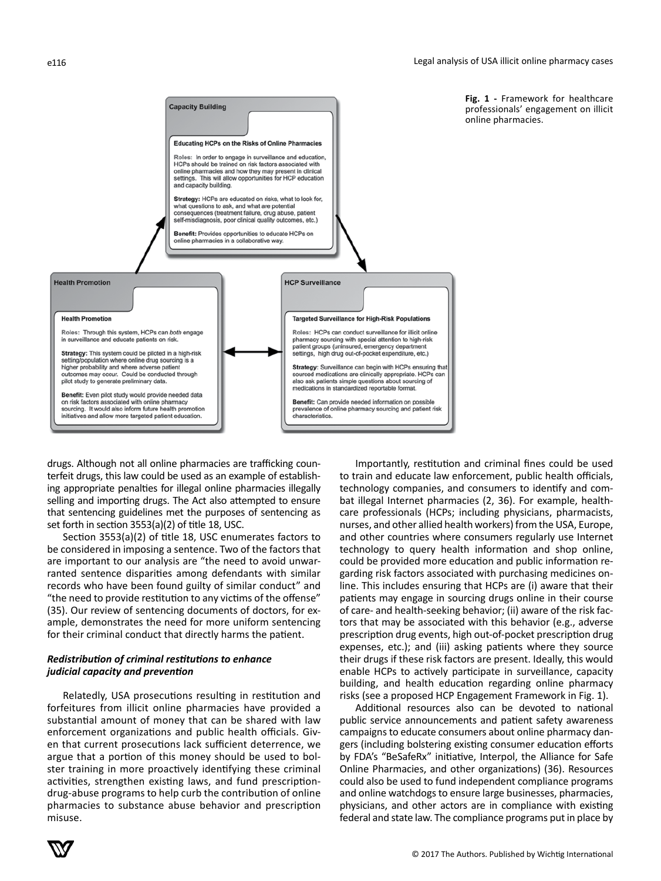

**Fig. 1 -** Framework for healthcare professionals' engagement on illicit online pharmacies.

drugs. Although not all online pharmacies are trafficking counterfeit drugs, this law could be used as an example of establishing appropriate penalties for illegal online pharmacies illegally selling and importing drugs. The Act also attempted to ensure that sentencing guidelines met the purposes of sentencing as set forth in section 3553(a)(2) of title 18, USC.

Section 3553(a)(2) of title 18, USC enumerates factors to be considered in imposing a sentence. Two of the factors that are important to our analysis are "the need to avoid unwarranted sentence disparities among defendants with similar records who have been found guilty of similar conduct" and "the need to provide restitution to any victims of the offense" (35). Our review of sentencing documents of doctors, for example, demonstrates the need for more uniform sentencing for their criminal conduct that directly harms the patient.

# *Redistribution of criminal restitutions to enhance judicial capacity and prevention*

Relatedly, USA prosecutions resulting in restitution and forfeitures from illicit online pharmacies have provided a substantial amount of money that can be shared with law enforcement organizations and public health officials. Given that current prosecutions lack sufficient deterrence, we argue that a portion of this money should be used to bolster training in more proactively identifying these criminal activities, strengthen existing laws, and fund prescriptiondrug-abuse programs to help curb the contribution of online pharmacies to substance abuse behavior and prescription misuse.

Importantly, restitution and criminal fines could be used to train and educate law enforcement, public health officials, technology companies, and consumers to identify and combat illegal Internet pharmacies (2, 36). For example, healthcare professionals (HCPs; including physicians, pharmacists, nurses, and other allied health workers) from the USA, Europe, and other countries where consumers regularly use Internet technology to query health information and shop online, could be provided more education and public information regarding risk factors associated with purchasing medicines online. This includes ensuring that HCPs are (i) aware that their patients may engage in sourcing drugs online in their course of care- and health-seeking behavior; (ii) aware of the risk factors that may be associated with this behavior (e.g., adverse prescription drug events, high out-of-pocket prescription drug expenses, etc.); and (iii) asking patients where they source their drugs if these risk factors are present. Ideally, this would enable HCPs to actively participate in surveillance, capacity building, and health education regarding online pharmacy risks (see a proposed HCP Engagement Framework in Fig. 1).

Additional resources also can be devoted to national public service announcements and patient safety awareness campaigns to educate consumers about online pharmacy dangers (including bolstering existing consumer education efforts by FDA's "BeSafeRx" initiative, Interpol, the Alliance for Safe Online Pharmacies, and other organizations) (36). Resources could also be used to fund independent compliance programs and online watchdogs to ensure large businesses, pharmacies, physicians, and other actors are in compliance with existing federal and state law. The compliance programs put in place by

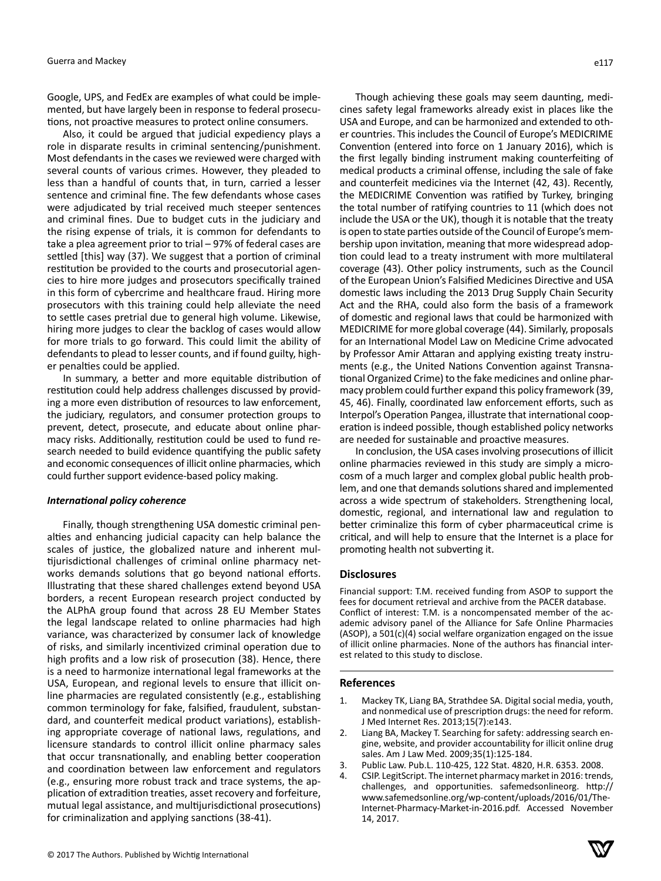Google, UPS, and FedEx are examples of what could be implemented, but have largely been in response to federal prosecutions, not proactive measures to protect online consumers.

Also, it could be argued that judicial expediency plays a role in disparate results in criminal sentencing/punishment. Most defendants in the cases we reviewed were charged with several counts of various crimes. However, they pleaded to less than a handful of counts that, in turn, carried a lesser sentence and criminal fine. The few defendants whose cases were adjudicated by trial received much steeper sentences and criminal fines. Due to budget cuts in the judiciary and the rising expense of trials, it is common for defendants to take a plea agreement prior to trial – 97% of federal cases are settled [this] way (37). We suggest that a portion of criminal restitution be provided to the courts and prosecutorial agencies to hire more judges and prosecutors specifically trained in this form of cybercrime and healthcare fraud. Hiring more prosecutors with this training could help alleviate the need to settle cases pretrial due to general high volume. Likewise, hiring more judges to clear the backlog of cases would allow for more trials to go forward. This could limit the ability of defendants to plead to lesser counts, and if found guilty, higher penalties could be applied.

In summary, a better and more equitable distribution of restitution could help address challenges discussed by providing a more even distribution of resources to law enforcement, the judiciary, regulators, and consumer protection groups to prevent, detect, prosecute, and educate about online pharmacy risks. Additionally, restitution could be used to fund research needed to build evidence quantifying the public safety and economic consequences of illicit online pharmacies, which could further support evidence-based policy making.

## *International policy coherence*

Finally, though strengthening USA domestic criminal penalties and enhancing judicial capacity can help balance the scales of justice, the globalized nature and inherent multijurisdictional challenges of criminal online pharmacy networks demands solutions that go beyond national efforts. Illustrating that these shared challenges extend beyond USA borders, a recent European research project conducted by the ALPhA group found that across 28 EU Member States the legal landscape related to online pharmacies had high variance, was characterized by consumer lack of knowledge of risks, and similarly incentivized criminal operation due to high profits and a low risk of prosecution (38). Hence, there is a need to harmonize international legal frameworks at the USA, European, and regional levels to ensure that illicit online pharmacies are regulated consistently (e.g., establishing common terminology for fake, falsified, fraudulent, substandard, and counterfeit medical product variations), establishing appropriate coverage of national laws, regulations, and licensure standards to control illicit online pharmacy sales that occur transnationally, and enabling better cooperation and coordination between law enforcement and regulators (e.g., ensuring more robust track and trace systems, the application of extradition treaties, asset recovery and forfeiture, mutual legal assistance, and multijurisdictional prosecutions) for criminalization and applying sanctions (38-41).

Though achieving these goals may seem daunting, medicines safety legal frameworks already exist in places like the USA and Europe, and can be harmonized and extended to other countries. Thisincludesthe Council of Europe's MEDICRIME Convention (entered into force on 1 January 2016), which is the first legally binding instrument making counterfeiting of medical products a criminal offense, including the sale of fake and counterfeit medicines via the Internet (42, 43). Recently, the MEDICRIME Convention was ratified by Turkey, bringing the total number of ratifying countries to 11 (which does not include the USA or the UK), though it is notable that the treaty is open to state parties outside of the Council of Europe's membership upon invitation, meaning that more widespread adoption could lead to a treaty instrument with more multilateral coverage (43). Other policy instruments, such as the Council of the European Union's Falsified Medicines Directive and USA domestic laws including the 2013 Drug Supply Chain Security Act and the RHA, could also form the basis of a framework of domestic and regional laws that could be harmonized with MEDICRIME for more global coverage (44). Similarly, proposals for an International Model Law on Medicine Crime advocated by Professor Amir Attaran and applying existing treaty instruments (e.g., the United Nations Convention against Transnational Organized Crime) to the fake medicines and online pharmacy problem could further expand this policy framework (39, 45, 46). Finally, coordinated law enforcement efforts, such as Interpol's Operation Pangea, illustrate that international cooperation is indeed possible, though established policy networks are needed for sustainable and proactive measures.

In conclusion, the USA cases involving prosecutions of illicit online pharmacies reviewed in this study are simply a microcosm of a much larger and complex global public health problem, and one that demands solutions shared and implemented across a wide spectrum of stakeholders. Strengthening local, domestic, regional, and international law and regulation to better criminalize this form of cyber pharmaceutical crime is critical, and will help to ensure that the Internet is a place for promoting health not subverting it.

## **Disclosures**

Financial support: T.M. received funding from ASOP to support the fees for document retrieval and archive from the PACER database. Conflict of interest: T.M. is a noncompensated member of the academic advisory panel of the Alliance for Safe Online Pharmacies (ASOP), a 501(c)(4) social welfare organization engaged on the issue of illicit online pharmacies. None of the authors has financial interest related to this study to disclose.

#### **References**

- 1. Mackey TK, Liang BA, Strathdee SA. Digital social media, youth, and nonmedical use of prescription drugs: the need for reform. J Med Internet Res. 2013;15(7):e143.
- 2. Liang BA, Mackey T. Searching for safety: addressing search engine, website, and provider accountability for illicit online drug sales. Am J Law Med. 2009;35(1):125-184.
- 3. Public Law. Pub.L. 110-425, 122 Stat. 4820, H.R. 6353. 2008.
- 4. CSIP. LegitScript. The internet pharmacy market in 2016: trends, challenges, and opportunities. safemedsonlineorg. http:// www.safemedsonline.org/wp-content/uploads/2016/01/The-Internet-Pharmacy-Market-in-2016.pdf. Accessed November 14, 2017.